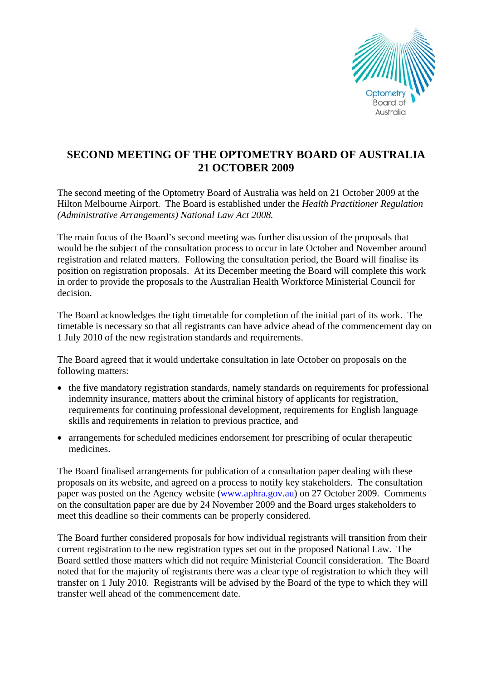

## **SECOND MEETING OF THE OPTOMETRY BOARD OF AUSTRALIA 21 OCTOBER 2009**

The second meeting of the Optometry Board of Australia was held on 21 October 2009 at the Hilton Melbourne Airport. The Board is established under the *Health Practitioner Regulation (Administrative Arrangements) National Law Act 2008.* 

The main focus of the Board's second meeting was further discussion of the proposals that would be the subject of the consultation process to occur in late October and November around registration and related matters. Following the consultation period, the Board will finalise its position on registration proposals. At its December meeting the Board will complete this work in order to provide the proposals to the Australian Health Workforce Ministerial Council for decision.

The Board acknowledges the tight timetable for completion of the initial part of its work. The timetable is necessary so that all registrants can have advice ahead of the commencement day on 1 July 2010 of the new registration standards and requirements.

The Board agreed that it would undertake consultation in late October on proposals on the following matters:

- the five mandatory registration standards, namely standards on requirements for professional indemnity insurance, matters about the criminal history of applicants for registration, requirements for continuing professional development, requirements for English language skills and requirements in relation to previous practice, and
- arrangements for scheduled medicines endorsement for prescribing of ocular therapeutic medicines.

The Board finalised arrangements for publication of a consultation paper dealing with these proposals on its website, and agreed on a process to notify key stakeholders. The consultation paper was posted on the Agency website [\(www.aphra.gov.au](http://www.aphra.gov.au/)) on 27 October 2009. Comments on the consultation paper are due by 24 November 2009 and the Board urges stakeholders to meet this deadline so their comments can be properly considered.

The Board further considered proposals for how individual registrants will transition from their current registration to the new registration types set out in the proposed National Law. The Board settled those matters which did not require Ministerial Council consideration. The Board noted that for the majority of registrants there was a clear type of registration to which they will transfer on 1 July 2010. Registrants will be advised by the Board of the type to which they will transfer well ahead of the commencement date.